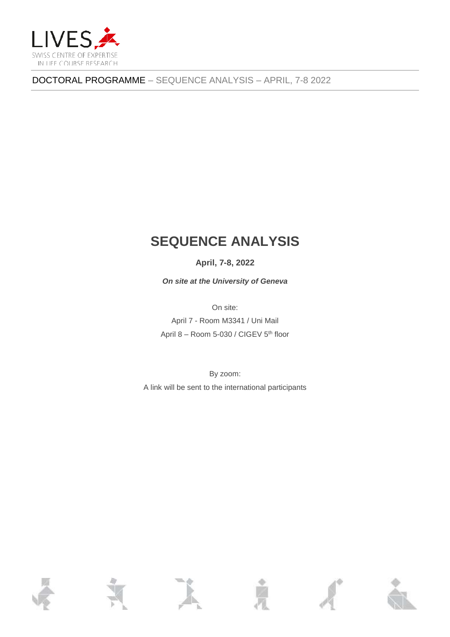

DOCTORAL PROGRAMME – SEQUENCE ANALYSIS – APRIL, 7-8 2022

## **SEQUENCE ANALYSIS**

**April, 7-8, 2022**

*On site at the University of Geneva*

On site:

April 7 - Room M3341 / Uni Mail April 8 – Room 5-030 / CIGEV 5<sup>th</sup> floor

By zoom: A link will be sent to the international participants

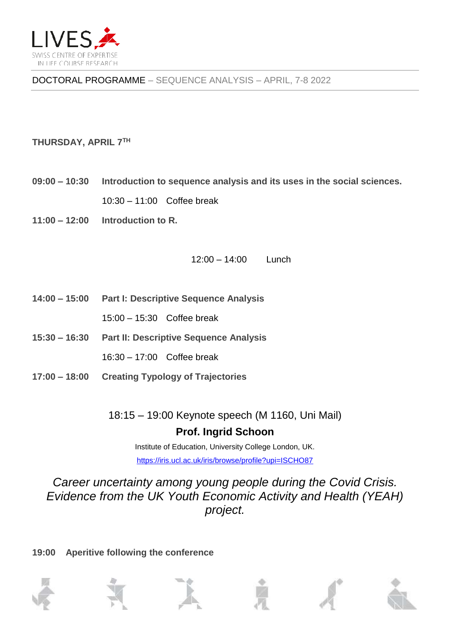

DOCTORAL PROGRAMME – SEQUENCE ANALYSIS – APRIL, 7-8 2022

## **THURSDAY, APRIL 7 TH**

**09:00 – 10:30 Introduction to sequence analysis and its uses in the social sciences.**

10:30 – 11:00 Coffee break

**11:00 – 12:00 Introduction to R.**

12:00 – 14:00 Lunch

- **14:00 – 15:00 Part I: Descriptive Sequence Analysis**
	- 15:00 15:30 Coffee break
- **15:30 – 16:30 Part II: Descriptive Sequence Analysis**
	- 16:30 17:00 Coffee break
- **17:00 – 18:00 Creating Typology of Trajectories**

18:15 – 19:00 Keynote speech (M 1160, Uni Mail) **Prof. Ingrid Schoon**

> Institute of Education, University College London, UK. <https://iris.ucl.ac.uk/iris/browse/profile?upi=ISCHO87>

*Career uncertainty among young people during the Covid Crisis. Evidence from the UK Youth Economic Activity and Health (YEAH) project.*

**19:00 Aperitive following the conference**